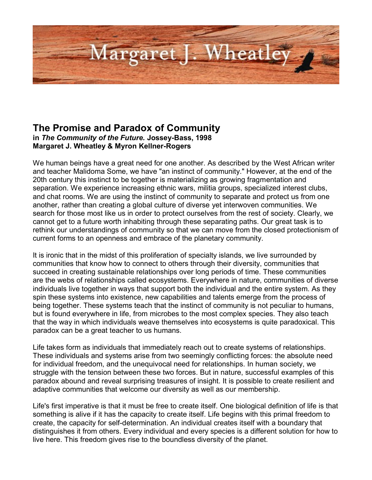

## **The Promise and Paradox of Community**

**in** *The Community of the Future.* **Jossey-Bass, 1998 Margaret J. Wheatley & Myron Kellner-Rogers** 

We human beings have a great need for one another. As described by the West African writer and teacher Malidoma Some, we have "an instinct of community." However, at the end of the 20th century this instinct to be together is materializing as growing fragmentation and separation. We experience increasing ethnic wars, militia groups, specialized interest clubs, and chat rooms. We are using the instinct of community to separate and protect us from one another, rather than creating a global culture of diverse yet interwoven communities. We search for those most like us in order to protect ourselves from the rest of society. Clearly, we cannot get to a future worth inhabiting through these separating paths. Our great task is to rethink our understandings of community so that we can move from the closed protectionism of current forms to an openness and embrace of the planetary community.

It is ironic that in the midst of this proliferation of specialty islands, we live surrounded by communities that know how to connect to others through their diversity, communities that succeed in creating sustainable relationships over long periods of time. These communities are the webs of relationships called ecosystems. Everywhere in nature, communities of diverse individuals live together in ways that support both the individual and the entire system. As they spin these systems into existence, new capabilities and talents emerge from the process of being together. These systems teach that the instinct of community is not peculiar to humans, but is found everywhere in life, from microbes to the most complex species. They also teach that the way in which individuals weave themselves into ecosystems is quite paradoxical. This paradox can be a great teacher to us humans.

Life takes form as individuals that immediately reach out to create systems of relationships. These individuals and systems arise from two seemingly conflicting forces: the absolute need for individual freedom, and the unequivocal need for relationships. In human society, we struggle with the tension between these two forces. But in nature, successful examples of this paradox abound and reveal surprising treasures of insight. It is possible to create resilient and adaptive communities that welcome our diversity as well as our membership.

Life's first imperative is that it must be free to create itself. One biological definition of life is that something is alive if it has the capacity to create itself. Life begins with this primal freedom to create, the capacity for self-determination. An individual creates itself with a boundary that distinguishes it from others. Every individual and every species is a different solution for how to live here. This freedom gives rise to the boundless diversity of the planet.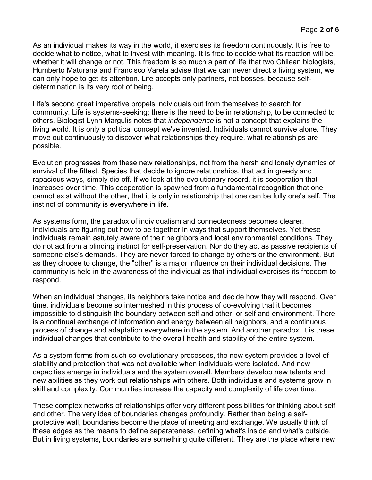As an individual makes its way in the world, it exercises its freedom continuously. It is free to decide what to notice, what to invest with meaning. It is free to decide what its reaction will be, whether it will change or not. This freedom is so much a part of life that two Chilean biologists, Humberto Maturana and Francisco Varela advise that we can never direct a living system, we can only hope to get its attention. Life accepts only partners, not bosses, because selfdetermination is its very root of being.

Life's second great imperative propels individuals out from themselves to search for community. Life is systems-seeking; there is the need to be in relationship, to be connected to others. Biologist Lynn Margulis notes that *independence* is not a concept that explains the living world. It is only a political concept we've invented. Individuals cannot survive alone. They move out continuously to discover what relationships they require, what relationships are possible.

Evolution progresses from these new relationships, not from the harsh and lonely dynamics of survival of the fittest. Species that decide to ignore relationships, that act in greedy and rapacious ways, simply die off. If we look at the evolutionary record, it is cooperation that increases over time. This cooperation is spawned from a fundamental recognition that one cannot exist without the other, that it is only in relationship that one can be fully one's self. The instinct of community is everywhere in life.

As systems form, the paradox of individualism and connectedness becomes clearer. Individuals are figuring out how to be together in ways that support themselves. Yet these individuals remain astutely aware of their neighbors and local environmental conditions. They do not act from a blinding instinct for self-preservation. Nor do they act as passive recipients of someone else's demands. They are never forced to change by others or the environment. But as they choose to change, the "other" is a major influence on their individual decisions. The community is held in the awareness of the individual as that individual exercises its freedom to respond.

When an individual changes, its neighbors take notice and decide how they will respond. Over time, individuals become so intermeshed in this process of co-evolving that it becomes impossible to distinguish the boundary between self and other, or self and environment. There is a continual exchange of information and energy between all neighbors, and a continuous process of change and adaptation everywhere in the system. And another paradox, it is these individual changes that contribute to the overall health and stability of the entire system.

As a system forms from such co-evolutionary processes, the new system provides a level of stability and protection that was not available when individuals were isolated. And new capacities emerge in individuals and the system overall. Members develop new talents and new abilities as they work out relationships with others. Both individuals and systems grow in skill and complexity. Communities increase the capacity and complexity of life over time.

These complex networks of relationships offer very different possibilities for thinking about self and other. The very idea of boundaries changes profoundly. Rather than being a selfprotective wall, boundaries become the place of meeting and exchange. We usually think of these edges as the means to define separateness, defining what's inside and what's outside. But in living systems, boundaries are something quite different. They are the place where new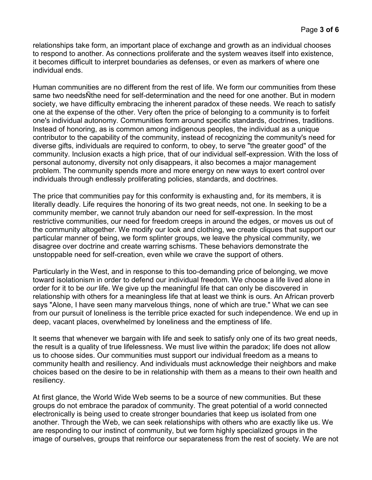relationships take form, an important place of exchange and growth as an individual chooses to respond to another. As connections proliferate and the system weaves itself into existence, it becomes difficult to interpret boundaries as defenses, or even as markers of where one individual ends.

Human communities are no different from the rest of life. We form our communities from these same two needsÑthe need for self-determination and the need for one another. But in modern society, we have difficulty embracing the inherent paradox of these needs. We reach to satisfy one at the expense of the other. Very often the price of belonging to a community is to forfeit one's individual autonomy. Communities form around specific standards, doctrines, traditions. Instead of honoring, as is common among indigenous peoples, the individual as a unique contributor to the capability of the community, instead of recognizing the community's need for diverse gifts, individuals are required to conform, to obey, to serve "the greater good" of the community. Inclusion exacts a high price, that of our individual self-expression. With the loss of personal autonomy, diversity not only disappears, it also becomes a major management problem. The community spends more and more energy on new ways to exert control over individuals through endlessly proliferating policies, standards, and doctrines.

The price that communities pay for this conformity is exhausting and, for its members, it is literally deadly. Life requires the honoring of its two great needs, not one. In seeking to be a community member, we cannot truly abandon our need for self-expression. In the most restrictive communities, our need for freedom creeps in around the edges, or moves us out of the community altogether. We modify our look and clothing, we create cliques that support our particular manner of being, we form splinter groups, we leave the physical community, we disagree over doctrine and create warring schisms. These behaviors demonstrate the unstoppable need for self-creation, even while we crave the support of others.

Particularly in the West, and in response to this too-demanding price of belonging, we move toward isolationism in order to defend our individual freedom. We choose a life lived alone in order for it to be *our* life. We give up the meaningful life that can only be discovered in relationship with others for a meaningless life that at least we think is ours. An African proverb says "Alone, I have seen many marvelous things, none of which are true." What we can see from our pursuit of loneliness is the terrible price exacted for such independence. We end up in deep, vacant places, overwhelmed by loneliness and the emptiness of life.

It seems that whenever we bargain with life and seek to satisfy only one of its two great needs, the result is a quality of true lifelessness. We must live within the paradox; life does not allow us to choose sides. Our communities must support our individual freedom as a means to community health and resiliency. And individuals must acknowledge their neighbors and make choices based on the desire to be in relationship with them as a means to their own health and resiliency.

At first glance, the World Wide Web seems to be a source of new communities. But these groups do not embrace the paradox of community. The great potential of a world connected electronically is being used to create stronger boundaries that keep us isolated from one another. Through the Web, we can seek relationships with others who are exactly like us. We are responding to our instinct of community, but we form highly specialized groups in the image of ourselves, groups that reinforce our separateness from the rest of society. We are not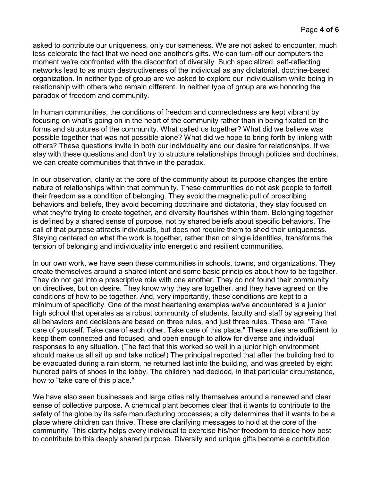asked to contribute our uniqueness, only our sameness. We are not asked to encounter, much less celebrate the fact that we need one another's gifts. We can turn-off our computers the moment we're confronted with the discomfort of diversity. Such specialized, self-reflecting networks lead to as much destructiveness of the individual as any dictatorial, doctrine-based organization. In neither type of group are we asked to explore our individualism while being in relationship with others who remain different. In neither type of group are we honoring the paradox of freedom and community.

In human communities, the conditions of freedom and connectedness are kept vibrant by focusing on what's going on in the heart of the community rather than in being fixated on the forms and structures of the community. What called us together? What did we believe was possible together that was not possible alone? What did we hope to bring forth by linking with others? These questions invite in both our individuality and our desire for relationships. If we stay with these questions and don't try to structure relationships through policies and doctrines, we can create communities that thrive in the paradox.

In our observation, clarity at the core of the community about its purpose changes the entire nature of relationships within that community. These communities do not ask people to forfeit their freedom as a condition of belonging. They avoid the magnetic pull of proscribing behaviors and beliefs, they avoid becoming doctrinaire and dictatorial, they stay focused on what they're trying to create together, and diversity flourishes within them. Belonging together is defined by a shared sense of purpose, not by shared beliefs about specific behaviors. The call of that purpose attracts individuals, but does not require them to shed their uniqueness. Staying centered on what the work is together, rather than on single identities, transforms the tension of belonging and individuality into energetic and resilient communities.

In our own work, we have seen these communities in schools, towns, and organizations. They create themselves around a shared intent and some basic principles about how to be together. They do not get into a prescriptive role with one another. They do not found their community on directives, but on desire. They know why they are together, and they have agreed on the conditions of how to be together. And, very importantly, these conditions are kept to a minimum of specificity. One of the most heartening examples we've encountered is a junior high school that operates as a robust community of students, faculty and staff by agreeing that all behaviors and decisions are based on three rules, and just three rules. These are: "Take care of yourself. Take care of each other. Take care of this place." These rules are sufficient to keep them connected and focused, and open enough to allow for diverse and individual responses to any situation. (The fact that this worked so well in a junior high environment should make us all sit up and take notice!) The principal reported that after the building had to be evacuated during a rain storm, he returned last into the building, and was greeted by eight hundred pairs of shoes in the lobby. The children had decided, in that particular circumstance, how to "take care of this place."

We have also seen businesses and large cities rally themselves around a renewed and clear sense of collective purpose. A chemical plant becomes clear that it wants to contribute to the safety of the globe by its safe manufacturing processes; a city determines that it wants to be a place where children can thrive. These are clarifying messages to hold at the core of the community. This clarity helps every individual to exercise his/her freedom to decide how best to contribute to this deeply shared purpose. Diversity and unique gifts become a contribution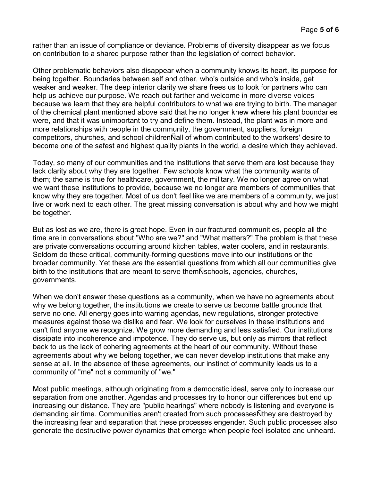rather than an issue of compliance or deviance. Problems of diversity disappear as we focus on contribution to a shared purpose rather than the legislation of correct behavior.

Other problematic behaviors also disappear when a community knows its heart, its purpose for being together. Boundaries between self and other, who's outside and who's inside, get weaker and weaker. The deep interior clarity we share frees us to look for partners who can help us achieve our purpose. We reach out farther and welcome in more diverse voices because we learn that they are helpful contributors to what we are trying to birth. The manager of the chemical plant mentioned above said that he no longer knew where his plant boundaries were, and that it was unimportant to try and define them. Instead, the plant was in more and more relationships with people in the community, the government, suppliers, foreign competitors, churches, and school childrenÑall of whom contributed to the workers' desire to become one of the safest and highest quality plants in the world, a desire which they achieved.

Today, so many of our communities and the institutions that serve them are lost because they lack clarity about why they are together. Few schools know what the community wants of them; the same is true for healthcare, government, the military. We no longer agree on what we want these institutions to provide, because we no longer are members of communities that know why they are together. Most of us don't feel like we are members of a community, we just live or work next to each other. The great missing conversation is about why and how we might be together.

But as lost as we are, there is great hope. Even in our fractured communities, people all the time are in conversations about "Who are we?" and "What matters?" The problem is that these are private conversations occurring around kitchen tables, water coolers, and in restaurants. Seldom do these critical, community-forming questions move into our institutions or the broader community. Yet these *are* the essential questions from which all our communities give birth to the institutions that are meant to serve themÑschools, agencies, churches, governments.

When we don't answer these questions as a community, when we have no agreements about why we belong together, the institutions we create to serve us become battle grounds that serve no one. All energy goes into warring agendas, new regulations, stronger protective measures against those we dislike and fear. We look for ourselves in these institutions and can't find anyone we recognize. We grow more demanding and less satisfied. Our institutions dissipate into incoherence and impotence. They do serve us, but only as mirrors that reflect back to us the lack of cohering agreements at the heart of our community. Without these agreements about why we belong together, we can never develop institutions that make any sense at all. In the absence of these agreements, our instinct of community leads us to a community of "me" not a community of "we."

Most public meetings, although originating from a democratic ideal, serve only to increase our separation from one another. Agendas and processes try to honor our differences but end up increasing our distance. They are "public hearings" where nobody is listening and everyone is demanding air time. Communities aren't created from such processesÑthey are destroyed by the increasing fear and separation that these processes engender. Such public processes also generate the destructive power dynamics that emerge when people feel isolated and unheard.